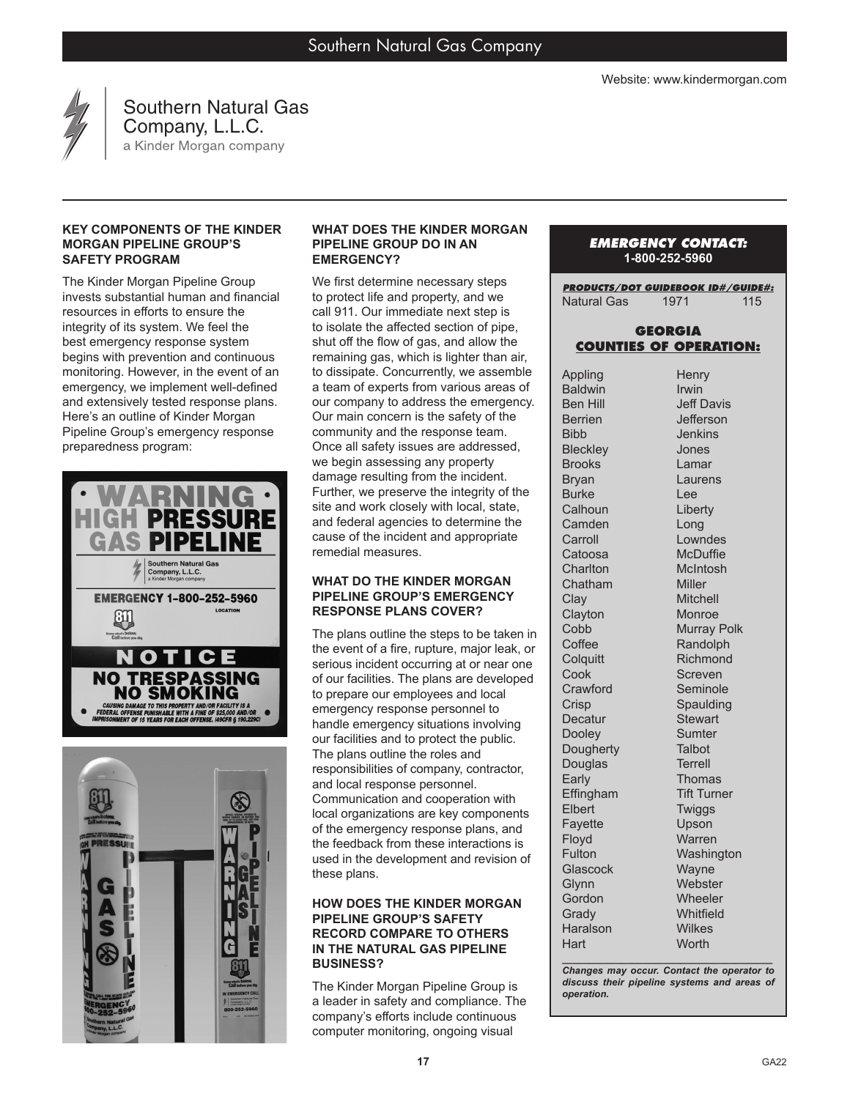

Southern Natural Gas **Company, L.L.C.**<br>a Kinder Morgan company

## **KEY COMPONENTS OF THE KINDER MORGAN PIPELINE GROUP'S SAFETY PROGRAM**

The Kinder Morgan Pipeline Group invests substantial human and financial resources in efforts to ensure the integrity of its system. We feel the best emergency response system begins with prevention and continuous monitoring. However, in the event of an emergency, we implement well-defined and extensively tested response plans. Here's an outline of Kinder Morgan Pipeline Group's emergency response preparedness program:





#### **WHAT DOES THE KINDER MORGAN PIPELINE GROUP DO IN AN EMERGENCY?**

We first determine necessary steps to protect life and property, and we call 911. Our immediate next step is to isolate the affected section of pipe, shut off the flow of gas, and allow the remaining gas, which is lighter than air, to dissipate. Concurrently, we assemble a team of experts from various areas of our company to address the emergency. Our main concern is the safety of the community and the response team. Once all safety issues are addressed, we begin assessing any property damage resulting from the incident. Further, we preserve the integrity of the site and work closely with local, state, and federal agencies to determine the cause of the incident and appropriate remedial measures.

### **WHAT DO THE KINDER MORGAN PIPELINE GROUP'S EMERGENCY RESPONSE PLANS COVER?**

The plans outline the steps to be taken in the event of a fire, rupture, major leak, or serious incident occurring at or near one of our facilities. The plans are developed to prepare our employees and local emergency response personnel to handle emergency situations involving our facilities and to protect the public. The plans outline the roles and responsibilities of company, contractor, and local response personnel. Communication and cooperation with local organizations are key components of the emergency response plans, and the feedback from these interactions is used in the development and revision of these plans.

## **HOW DOES THE KINDER MORGAN PIPELINE GROUP'S SAFETY RECORD COMPARE TO OTHERS IN THE NATURAL GAS PIPELINE BUSINESS?**

The Kinder Morgan Pipeline Group is a leader in safety and compliance. The company's efforts include continuous computer monitoring, ongoing visual

# *EMERGENCY CONTACT:* **1-800-252-5960**

*PRODUCTS/DOT GUIDEBOOK ID#/GUIDE#:* Natural Gas 1971 115

# **GEORGIA COUNTIES OF OPERATION:**

Appling **Baldwin** Ben Hill Berrien Bibb **Bleckley** Brooks Bryan Burke **Calhoun Camden Carroll** Catoosa **Charlton** Chatham Clay **Clayton Cobb Coffee Colquitt** Cook **Crawford Crisp Decatur** Dooley **Dougherty** Douglas Early Effingham Elbert Fayette Floyd **Fulton Glascock** Glynn **Gordon Grady** Haralson **Hart Henry** Irwin Jeff Davis Jefferson Jenkins Jones Lamar Laurens Lee Liberty Long Lowndes **McDuffie** McIntosh Miller Mitchell Monroe Murray Polk **Randolph** Richmond **Screven** Seminole Spaulding **Stewart Sumter Talbot** Terrell **Thomas** Tift Turner Twiggs Upson Warren **Washington Wayne Webster Wheeler Whitfield** Wilkes **Worth** 

*\_\_\_\_\_\_\_\_\_\_\_\_\_\_\_\_\_\_\_\_\_\_\_\_\_\_\_\_\_\_\_\_\_\_\_\_\_\_\_ Changes may occur. Contact the operator to discuss their pipeline systems and areas of operation.*